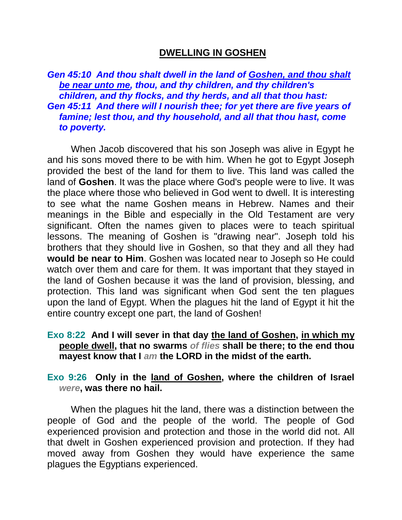# **DWELLING IN GOSHEN**

*Gen 45:10 And thou shalt dwell in the land of Goshen, and thou shalt be near unto me, thou, and thy children, and thy children's children, and thy flocks, and thy herds, and all that thou hast: Gen 45:11 And there will I nourish thee; for yet there are five years of famine; lest thou, and thy household, and all that thou hast, come to poverty.* 

When Jacob discovered that his son Joseph was alive in Egypt he and his sons moved there to be with him. When he got to Egypt Joseph provided the best of the land for them to live. This land was called the land of **Goshen**. It was the place where God's people were to live. It was the place where those who believed in God went to dwell. It is interesting to see what the name Goshen means in Hebrew. Names and their meanings in the Bible and especially in the Old Testament are very significant. Often the names given to places were to teach spiritual lessons. The meaning of Goshen is "drawing near". Joseph told his brothers that they should live in Goshen, so that they and all they had **would be near to Him**. Goshen was located near to Joseph so He could watch over them and care for them. It was important that they stayed in the land of Goshen because it was the land of provision, blessing, and protection. This land was significant when God sent the ten plagues upon the land of Egypt. When the plagues hit the land of Egypt it hit the entire country except one part, the land of Goshen!

## **Exo 8:22 And I will sever in that day the land of Goshen, in which my people dwell, that no swarms** *of flies* **shall be there; to the end thou mayest know that I** *am* **the LORD in the midst of the earth.**

### **Exo 9:26 Only in the land of Goshen, where the children of Israel**  *were***, was there no hail.**

When the plagues hit the land, there was a distinction between the people of God and the people of the world. The people of God experienced provision and protection and those in the world did not. All that dwelt in Goshen experienced provision and protection. If they had moved away from Goshen they would have experience the same plagues the Egyptians experienced.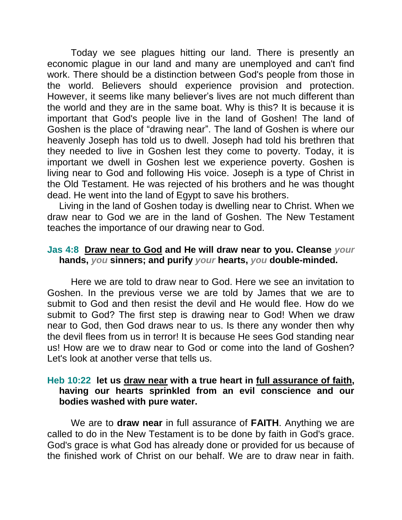Today we see plagues hitting our land. There is presently an economic plague in our land and many are unemployed and can't find work. There should be a distinction between God's people from those in the world. Believers should experience provision and protection. However, it seems like many believer's lives are not much different than the world and they are in the same boat. Why is this? It is because it is important that God's people live in the land of Goshen! The land of Goshen is the place of "drawing near". The land of Goshen is where our heavenly Joseph has told us to dwell. Joseph had told his brethren that they needed to live in Goshen lest they come to poverty. Today, it is important we dwell in Goshen lest we experience poverty. Goshen is living near to God and following His voice. Joseph is a type of Christ in the Old Testament. He was rejected of his brothers and he was thought dead. He went into the land of Egypt to save his brothers.

Living in the land of Goshen today is dwelling near to Christ. When we draw near to God we are in the land of Goshen. The New Testament teaches the importance of our drawing near to God.

#### **Jas 4:8 Draw near to God and He will draw near to you. Cleanse** *your* **hands,** *you* **sinners; and purify** *your* **hearts,** *you* **double-minded.**

Here we are told to draw near to God. Here we see an invitation to Goshen. In the previous verse we are told by James that we are to submit to God and then resist the devil and He would flee. How do we submit to God? The first step is drawing near to God! When we draw near to God, then God draws near to us. Is there any wonder then why the devil flees from us in terror! It is because He sees God standing near us! How are we to draw near to God or come into the land of Goshen? Let's look at another verse that tells us.

### **Heb 10:22 let us draw near with a true heart in full assurance of faith, having our hearts sprinkled from an evil conscience and our bodies washed with pure water.**

We are to **draw near** in full assurance of **FAITH**. Anything we are called to do in the New Testament is to be done by faith in God's grace. God's grace is what God has already done or provided for us because of the finished work of Christ on our behalf. We are to draw near in faith.